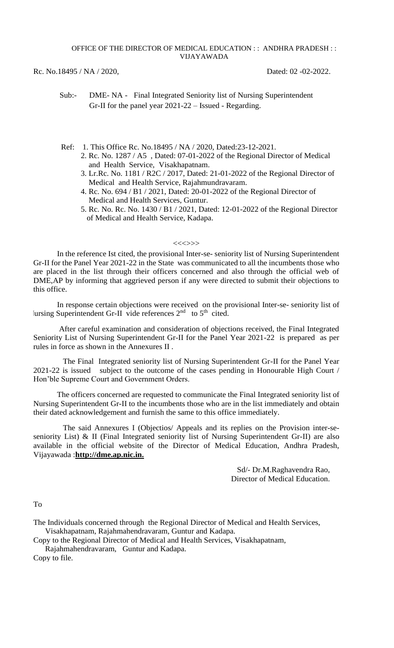OFFICE OF THE DIRECTOR OF MEDICAL EDUCATION : : ANDHRA PRADESH : : VIJAYAWADA

Rc. No.18495 / NA / 2020, Dated: 02 -02-2022.

- Sub:- DME- NA Final Integrated Seniority list of Nursing Superintendent Gr-II for the panel year 2021-22 – Issued - Regarding.
- Ref: 1. This Office Rc. No.18495 / NA / 2020, Dated:23-12-2021. 2. Rc. No. 1287 / A5 , Dated: 07-01-2022 of the Regional Director of Medical and Health Service, Visakhapatnam.
	- 3. Lr.Rc. No. 1181 / R2C / 2017, Dated: 21-01-2022 of the Regional Director of Medical and Health Service, Rajahmundravaram.
	- 4. Rc. No. 694 / B1 / 2021, Dated: 20-01-2022 of the Regional Director of Medical and Health Services, Guntur.
	- 5. Rc. No. Rc. No. 1430 / B1 / 2021, Dated: 12-01-2022 of the Regional Director of Medical and Health Service, Kadapa.

## $\ll\ll\ll\gg\gg$

In the reference Ist cited, the provisional Inter-se- seniority list of Nursing Superintendent Gr-II for the Panel Year 2021-22 in the State was communicated to all the incumbents those who are placed in the list through their officers concerned and also through the official web of DME,AP by informing that aggrieved person if any were directed to submit their objections to this office.

In response certain objections were received on the provisional Inter-se- seniority list of Iursing Superintendent Gr-II vide references  $2<sup>nd</sup>$  to  $5<sup>th</sup>$  cited.

After careful examination and consideration of objections received, the Final Integrated Seniority List of Nursing Superintendent Gr-II for the Panel Year 2021-22 is prepared as per rules in force as shown in the Annexures II .

 The Final Integrated seniority list of Nursing Superintendent Gr-II for the Panel Year 2021-22 is issued subject to the outcome of the cases pending in Honourable High Court / Hon'ble Supreme Court and Government Orders.

 The officers concerned are requested to communicate the Final Integrated seniority list of Nursing Superintendent Gr-II to the incumbents those who are in the list immediately and obtain their dated acknowledgement and furnish the same to this office immediately.

 The said Annexures I (Objectios/ Appeals and its replies on the Provision inter-seseniority List) & II (Final Integrated seniority list of Nursing Superintendent Gr-II) are also available in the official website of the Director of Medical Education, Andhra Pradesh, Vijayawada :**http://dme.ap.nic.in.**

> Sd/- Dr.M.Raghavendra Rao, Director of Medical Education.

To

The Individuals concerned through the Regional Director of Medical and Health Services, Visakhapatnam, Rajahmahendravaram, Guntur and Kadapa.

Copy to the Regional Director of Medical and Health Services, Visakhapatnam,

 Rajahmahendravaram, Guntur and Kadapa. Copy to file.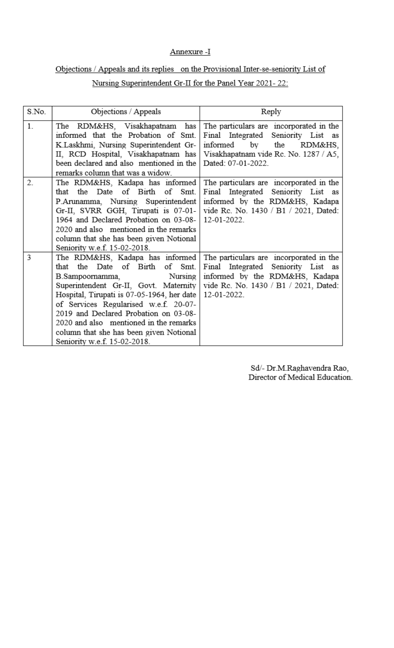## Annexure -I

## Objections / Appeals and its replies on the Provisional Inter-se-seniority List of

## Nursing Superintendent Gr-II for the Panel Year 2021-22:

| S.No. | Objections / Appeals                                                                                                                                                                                                                                                                                                                                                                                      | Reply                                                                                                                                                                               |  |  |  |
|-------|-----------------------------------------------------------------------------------------------------------------------------------------------------------------------------------------------------------------------------------------------------------------------------------------------------------------------------------------------------------------------------------------------------------|-------------------------------------------------------------------------------------------------------------------------------------------------------------------------------------|--|--|--|
| 1.    | has<br>The RDM&HS, Visakhapatnam<br>informed that the Probation of Smt.<br>K.Laskhmi, Nursing Superintendent Gr-<br>II, RCD Hospital, Visakhapatnam has<br>been declared and also mentioned in the<br>remarks column that was a widow.                                                                                                                                                                    | The particulars are incorporated in the<br>Final Integrated<br>Seniority List as<br>informed<br>by<br>the<br>RDM&HS.<br>Visakhapatnam vide Rc. No. 1287 / A5,<br>Dated: 07-01-2022. |  |  |  |
| 2.    | The RDM&HS, Kadapa has informed<br>that the Date of Birth of Smt.<br>P.Arunamma, Nursing Superintendent<br>Gr-II, SVRR GGH, Tirupati is 07-01-<br>1964 and Declared Probation on 03-08-<br>2020 and also mentioned in the remarks<br>column that she has been given Notional<br>Seniority w.e.f. 15-02-2018.                                                                                              | The particulars are incorporated in the<br>Final Integrated Seniority List as<br>informed by the RDM&HS, Kadapa<br>vide Rc. No. 1430 / B1 / 2021, Dated:<br>12-01-2022.             |  |  |  |
| 3     | The RDM&HS, Kadapa has informed<br>the<br>Date of Birth<br>Smt.<br>of<br>that<br>Nursing<br>B.Sampoornamma,<br>Superintendent Gr-II, Govt. Maternity<br>Hospital, Tirupati is 07-05-1964, her date<br>of Services Regularised w.e.f. 20-07-<br>2019 and Declared Probation on 03-08-<br>2020 and also mentioned in the remarks<br>column that she has been given Notional<br>Seniority w.e.f. 15-02-2018. | The particulars are incorporated in the<br>Final Integrated Seniority List as<br>informed by the RDM&HS, Kadapa<br>vide Rc. No. 1430 / B1 / 2021, Dated:<br>12-01-2022.             |  |  |  |

Sd/- Dr.M.Raghavendra Rao, Director of Medical Education.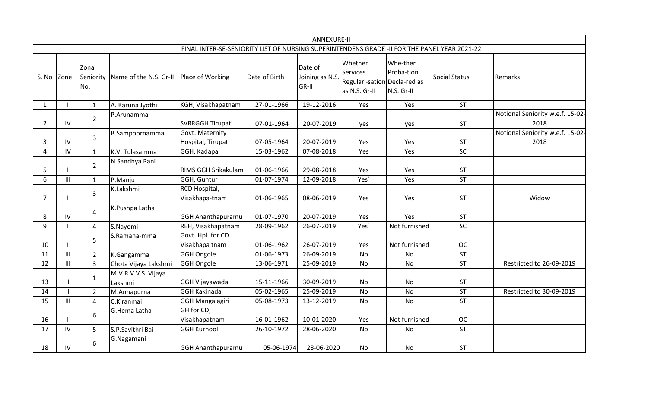|                |               |                           |                                         |                                                                                              |               | <b>ANNEXURE-II</b>                 |                                                                             |                                      |               |                                          |
|----------------|---------------|---------------------------|-----------------------------------------|----------------------------------------------------------------------------------------------|---------------|------------------------------------|-----------------------------------------------------------------------------|--------------------------------------|---------------|------------------------------------------|
|                |               |                           |                                         | FINAL INTER-SE-SENIORITY LIST OF NURSING SUPERINTENDENS GRADE -II FOR THE PANEL YEAR 2021-22 |               |                                    |                                                                             |                                      |               |                                          |
| S. No Zone     |               | Zonal<br>Seniority<br>No. | Name of the N.S. Gr-II Place of Working |                                                                                              | Date of Birth | Date of<br>Joining as N.S<br>GR-II | Whether<br><b>Services</b><br>Regulari-sation Decla-red as<br>as N.S. Gr-II | Whe-ther<br>Proba-tion<br>N.S. Gr-II | Social Status | Remarks                                  |
| $\mathbf{1}$   |               | $\mathbf{1}$              | A. Karuna Jyothi                        | KGH, Visakhapatnam                                                                           | 27-01-1966    | 19-12-2016                         | Yes                                                                         | Yes                                  | <b>ST</b>     |                                          |
| $\overline{2}$ | ${\sf IV}$    | $\overline{2}$            | P.Arunamma                              | <b>SVRRGGH Tirupati</b>                                                                      | 07-01-1964    | 20-07-2019                         | yes                                                                         | yes                                  | ST            | Notional Seniority w.e.f. 15-02-<br>2018 |
| 3              | IV            | 3                         | B.Sampoornamma                          | Govt. Maternity<br>Hospital, Tirupati                                                        | 07-05-1964    | 20-07-2019                         | Yes                                                                         | Yes                                  | <b>ST</b>     | Notional Seniority w.e.f. 15-02-<br>2018 |
| 4              | IV            | $\mathbf{1}$              | K.V. Tulasamma                          | GGH, Kadapa                                                                                  | 15-03-1962    | 07-08-2018                         | Yes                                                                         | Yes                                  | SC            |                                          |
| 5              |               | $\overline{2}$            | N.Sandhya Rani                          | <b>RIMS GGH Srikakulam</b>                                                                   | 01-06-1966    | 29-08-2018                         | Yes                                                                         | Yes                                  | ST            |                                          |
| 6              | III           | $\mathbf{1}$              | P.Manju                                 | GGH, Guntur                                                                                  | 01-07-1974    | 12-09-2018                         | Yes'                                                                        | Yes                                  | <b>ST</b>     |                                          |
| 7              |               | 3                         | K.Lakshmi                               | RCD Hospital,<br>Visakhapa-tnam                                                              | 01-06-1965    | 08-06-2019                         | Yes                                                                         | Yes                                  | <b>ST</b>     | Widow                                    |
| 8              | IV            | $\pmb{4}$                 | K.Pushpa Latha                          | <b>GGH Ananthapuramu</b>                                                                     | 01-07-1970    | 20-07-2019                         | Yes                                                                         | Yes                                  | ST            |                                          |
| 9              |               | 4                         | S.Nayomi                                | REH, Visakhapatnam                                                                           | 28-09-1962    | 26-07-2019                         | Yes'                                                                        | Not furnished                        | SC            |                                          |
| 10             |               | 5                         | S.Ramana-mma                            | Govt. Hpl. for CD<br>Visakhapa tnam                                                          | 01-06-1962    | 26-07-2019                         | Yes                                                                         | Not furnished                        | <b>OC</b>     |                                          |
| 11             | III           | $\overline{2}$            | K.Gangamma                              | <b>GGH Ongole</b>                                                                            | 01-06-1973    | 26-09-2019                         | <b>No</b>                                                                   | <b>No</b>                            | <b>ST</b>     |                                          |
| 12             | Ш             | $\overline{3}$            | Chota Vijaya Lakshmi                    | GGH Ongole                                                                                   | 13-06-1971    | 25-09-2019                         | No                                                                          | <b>No</b>                            | <b>ST</b>     | Restricted to 26-09-2019                 |
| 13             | $\mathbf{H}$  | $\mathbf{1}$              | M.V.R.V.V.S. Vijaya<br>Lakshmi          | GGH Vijayawada                                                                               | 15-11-1966    | 30-09-2019                         | <b>No</b>                                                                   | No                                   | <b>ST</b>     |                                          |
| 14             | $\mathbf{II}$ | $\overline{2}$            | M.Annapurna                             | <b>GGH Kakinada</b>                                                                          | 05-02-1965    | 25-09-2019                         | No                                                                          | No                                   | <b>ST</b>     | Restricted to 30-09-2019                 |
| 15             | III           | $\overline{4}$            | C.Kiranmai                              | <b>GGH Mangalagiri</b>                                                                       | 05-08-1973    | 13-12-2019                         | <b>No</b>                                                                   | <b>No</b>                            | <b>ST</b>     |                                          |
| 16             |               | $\boldsymbol{6}$          | G.Hema Latha                            | GH for CD,<br>Visakhapatnam                                                                  | 16-01-1962    | 10-01-2020                         | Yes                                                                         | Not furnished                        | <b>OC</b>     |                                          |
| 17             | IV            | 5                         | S.P.Savithri Bai                        | <b>GGH Kurnool</b>                                                                           | 26-10-1972    | 28-06-2020                         | No                                                                          | <b>No</b>                            | <b>ST</b>     |                                          |
| 18             | IV            | 6                         | G.Nagamani                              | <b>GGH Ananthapuramu</b>                                                                     | 05-06-1974    | 28-06-2020                         | No                                                                          | No                                   | <b>ST</b>     |                                          |